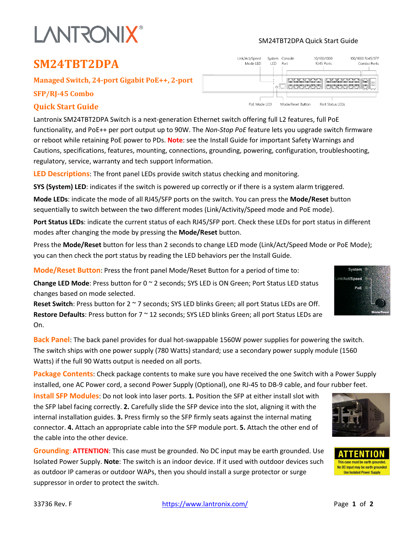### SM24TBT2DPA Quick Start Guide

 $\begin{picture}(45,14) \put(0,0){\line(1,0){10}} \put(10,0){\line(1,0){10}} \put(10,0){\line(1,0){10}} \put(10,0){\line(1,0){10}} \put(10,0){\line(1,0){10}} \put(10,0){\line(1,0){10}} \put(10,0){\line(1,0){10}} \put(10,0){\line(1,0){10}} \put(10,0){\line(1,0){10}} \put(10,0){\line(1,0){10}} \put(10,0){\line(1,0){10}} \put(10,0){\line(1$ 

Mode/Reset Button

10/100/1000

R145 Ports

E BERTH BERTH BERTH AND IN

Port Status LEDs

**CARDOSSE** 

100/1000 R145/SEP

Combo Ports

System Console

**IFD** Port

# **SM24TBT2DPA**

**Managed Switch, 24-port Gigabit PoE++, 2-port** 

**SFP/RJ-45 Combo**

## **Quick Start Guide**

Lantronix SM24TBT2DPA Switch is a next-generation Ethernet switch offering full L2 features, full PoE functionality, and PoE++ per port output up to 90W. The *Non-Stop PoE* feature lets you upgrade switch firmware or reboot while retaining PoE power to PDs. **Note**: see the Install Guide for important Safety Warnings and Cautions, specifications, features, mounting, connections, grounding, powering, configuration, troubleshooting, regulatory, service, warranty and tech support Information.

Link/Act/Speed

Mode LED

PoE Mode LED

**LED Descriptions**: The front panel LEDs provide switch status checking and monitoring.

**SYS (System) LED**: indicates if the switch is powered up correctly or if there is a system alarm triggered.

**Mode LEDs**: indicate the mode of all RJ45/SFP ports on the switch. You can press the **Mode/Reset** button sequentially to switch between the two different modes (Link/Activity/Speed mode and PoE mode).

**Port Status LEDs**: indicate the current status of each RJ45/SFP port. Check these LEDs for port status in different modes after changing the mode by pressing the **Mode/Reset** button.

Press the **Mode/Reset** button for less than 2 seconds to change LED mode (Link/Act/Speed Mode or PoE Mode); you can then check the port status by reading the LED behaviors per the Install Guide.

**Mode/Reset Button**: Press the front panel Mode/Reset Button for a period of time to:

**Change LED Mode**: Press button for 0 ~ 2 seconds; SYS LED is ON Green; Port Status LED status changes based on mode selected.

**Reset Switch**: Press button for 2 ~ 7 seconds; SYS LED blinks Green; all port Status LEDs are Off. **Restore Defaults**: Press button for 7 ~ 12 seconds; SYS LED blinks Green; all port Status LEDs are On.

**Back Panel**: The back panel provides for dual hot-swappable 1560W power supplies for powering the switch. The switch ships with one power supply (780 Watts) standard; use a secondary power supply module (1560 Watts) if the full 90 Watts output is needed on all ports.

**Package Contents**: Check package contents to make sure you have received the one Switch with a Power Supply installed, one AC Power cord, a second Power Supply (Optional), one RJ-45 to DB-9 cable, and four rubber feet.

**Install SFP Modules**: Do not look into laser ports. **1.** Position the SFP at either install slot with the SFP label facing correctly. **2.** Carefully slide the SFP device into the slot, aligning it with the internal installation guides. **3.** Press firmly so the SFP firmly seats against the internal mating connector. **4.** Attach an appropriate cable into the SFP module port. **5.** Attach the other end of the cable into the other device.

**Grounding**: **ATTENTION**: This case must be grounded. No DC input may be earth grounded. Use Isolated Power Supply. **Note**: The switch is an indoor device. If it used with outdoor devices such as outdoor IP cameras or outdoor WAPs, then you should install a surge protector or surge suppressor in order to protect the switch.







# This case must be earth grounder No DC input may be earth grounded **Use Isolated Power Supply**